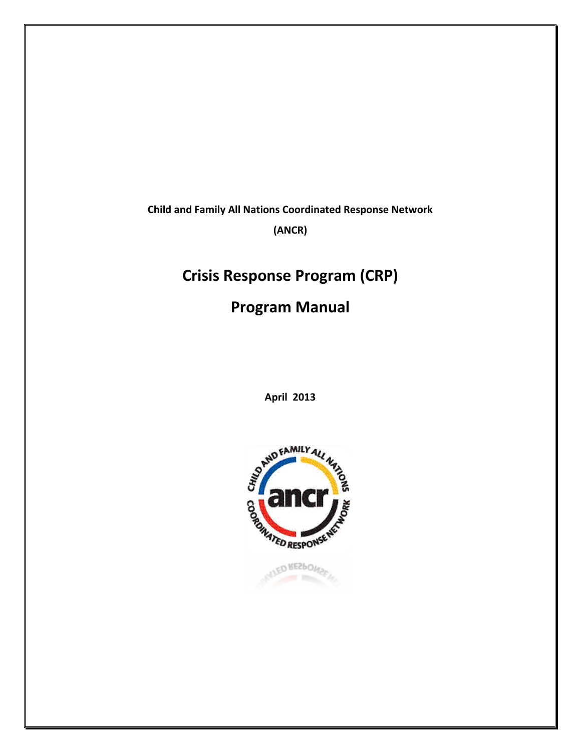**Child and Family All Nations Coordinated Response Network**

**(ANCR)**

# **Crisis Response Program (CRP)**

**Program Manual**

**April 2013**

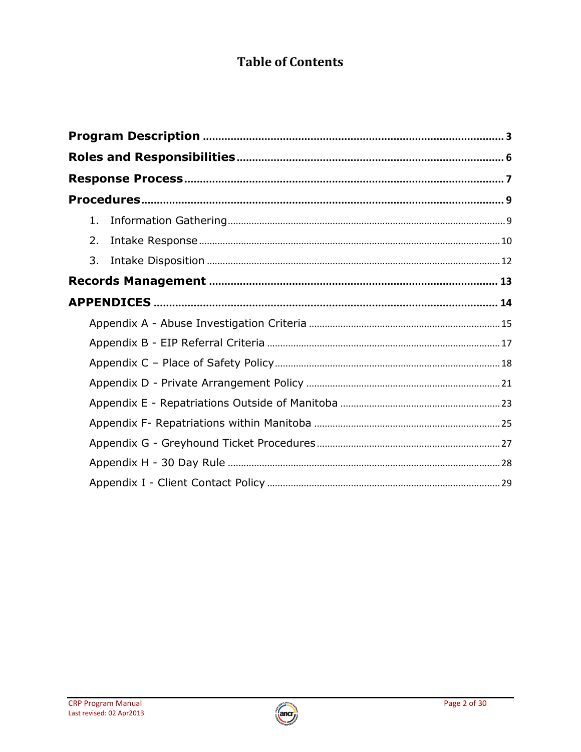# **Table of Contents**

| 1. |  |
|----|--|
| 2. |  |
| 3. |  |
|    |  |
|    |  |
|    |  |
|    |  |
|    |  |
|    |  |
|    |  |
|    |  |
|    |  |
|    |  |
|    |  |

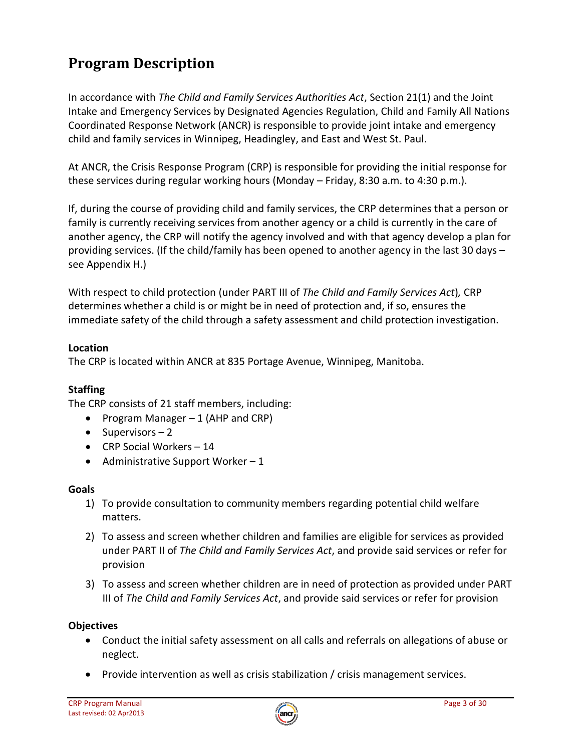# **Program Description**

In accordance with *The Child and Family Services Authorities Act*, Section 21(1) and the Joint Intake and Emergency Services by Designated Agencies Regulation, Child and Family All Nations Coordinated Response Network (ANCR) is responsible to provide joint intake and emergency child and family services in Winnipeg, Headingley, and East and West St. Paul.

At ANCR, the Crisis Response Program (CRP) is responsible for providing the initial response for these services during regular working hours (Monday – Friday, 8:30 a.m. to 4:30 p.m.).

If, during the course of providing child and family services, the CRP determines that a person or family is currently receiving services from another agency or a child is currently in the care of another agency, the CRP will notify the agency involved and with that agency develop a plan for providing services. (If the child/family has been opened to another agency in the last 30 days – see Appendix H.)

With respect to child protection (under PART III of *The Child and Family Services Act*)*,* CRP determines whether a child is or might be in need of protection and, if so, ensures the immediate safety of the child through a safety assessment and child protection investigation.

### **Location**

The CRP is located within ANCR at 835 Portage Avenue, Winnipeg, Manitoba.

### **Staffing**

The CRP consists of 21 staff members, including:

- Program Manager  $-1$  (AHP and CRP)
- $\bullet$  Supervisors 2
- CRP Social Workers 14
- Administrative Support Worker  $-1$

#### **Goals**

- 1) To provide consultation to community members regarding potential child welfare matters.
- 2) To assess and screen whether children and families are eligible for services as provided under PART II of *The Child and Family Services Act*, and provide said services or refer for provision
- 3) To assess and screen whether children are in need of protection as provided under PART III of *The Child and Family Services Act*, and provide said services or refer for provision

#### **Objectives**

- Conduct the initial safety assessment on all calls and referrals on allegations of abuse or neglect.
- Provide intervention as well as crisis stabilization / crisis management services.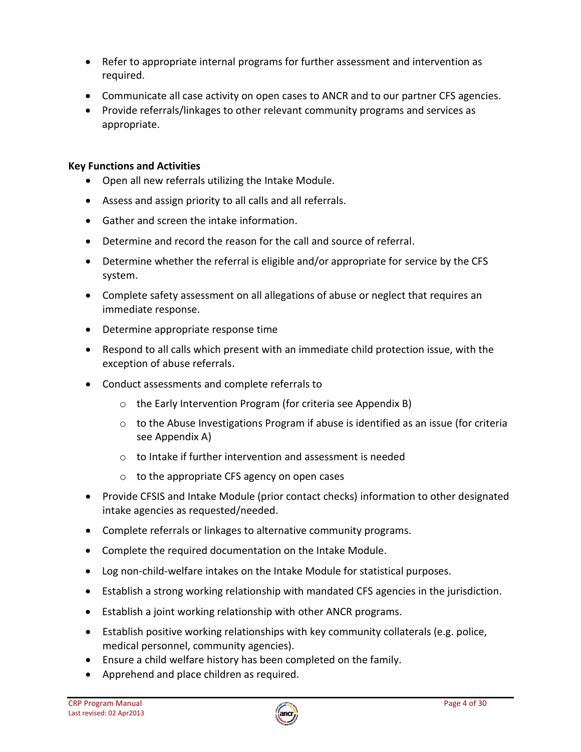- Refer to appropriate internal programs for further assessment and intervention as required.
- Communicate all case activity on open cases to ANCR and to our partner CFS agencies.
- Provide referrals/linkages to other relevant community programs and services as appropriate.

# **Key Functions and Activities**

- Open all new referrals utilizing the Intake Module.
- Assess and assign priority to all calls and all referrals.
- Gather and screen the intake information.
- Determine and record the reason for the call and source of referral.
- Determine whether the referral is eligible and/or appropriate for service by the CFS system.
- Complete safety assessment on all allegations of abuse or neglect that requires an immediate response.
- Determine appropriate response time
- Respond to all calls which present with an immediate child protection issue, with the exception of abuse referrals.
- Conduct assessments and complete referrals to
	- o the Early Intervention Program (for criteria see Appendix B)
	- o to the Abuse Investigations Program if abuse is identified as an issue (for criteria see Appendix A)
	- $\circ$  to Intake if further intervention and assessment is needed
	- o to the appropriate CFS agency on open cases
- Provide CFSIS and Intake Module (prior contact checks) information to other designated intake agencies as requested/needed.
- Complete referrals or linkages to alternative community programs.
- Complete the required documentation on the Intake Module.
- Log non-child-welfare intakes on the Intake Module for statistical purposes.
- Establish a strong working relationship with mandated CFS agencies in the jurisdiction.
- Establish a joint working relationship with other ANCR programs.
- Establish positive working relationships with key community collaterals (e.g. police, medical personnel, community agencies).
- Ensure a child welfare history has been completed on the family.
- Apprehend and place children as required.

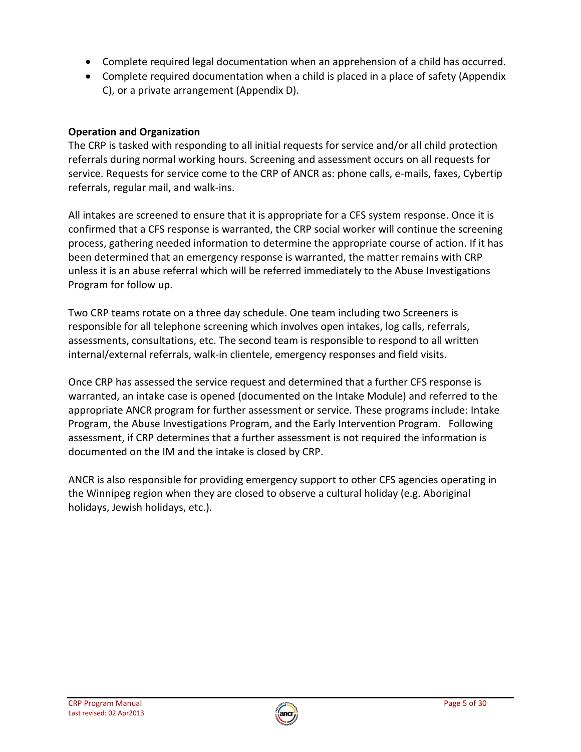- Complete required legal documentation when an apprehension of a child has occurred.
- Complete required documentation when a child is placed in a place of safety (Appendix C), or a private arrangement (Appendix D).

# **Operation and Organization**

The CRP is tasked with responding to all initial requests for service and/or all child protection referrals during normal working hours. Screening and assessment occurs on all requests for service. Requests for service come to the CRP of ANCR as: phone calls, e-mails, faxes, Cybertip referrals, regular mail, and walk-ins.

All intakes are screened to ensure that it is appropriate for a CFS system response. Once it is confirmed that a CFS response is warranted, the CRP social worker will continue the screening process, gathering needed information to determine the appropriate course of action. If it has been determined that an emergency response is warranted, the matter remains with CRP unless it is an abuse referral which will be referred immediately to the Abuse Investigations Program for follow up.

Two CRP teams rotate on a three day schedule. One team including two Screeners is responsible for all telephone screening which involves open intakes, log calls, referrals, assessments, consultations, etc. The second team is responsible to respond to all written internal/external referrals, walk-in clientele, emergency responses and field visits.

Once CRP has assessed the service request and determined that a further CFS response is warranted, an intake case is opened (documented on the Intake Module) and referred to the appropriate ANCR program for further assessment or service. These programs include: Intake Program, the Abuse Investigations Program, and the Early Intervention Program. Following assessment, if CRP determines that a further assessment is not required the information is documented on the IM and the intake is closed by CRP.

ANCR is also responsible for providing emergency support to other CFS agencies operating in the Winnipeg region when they are closed to observe a cultural holiday (e.g. Aboriginal holidays, Jewish holidays, etc.).

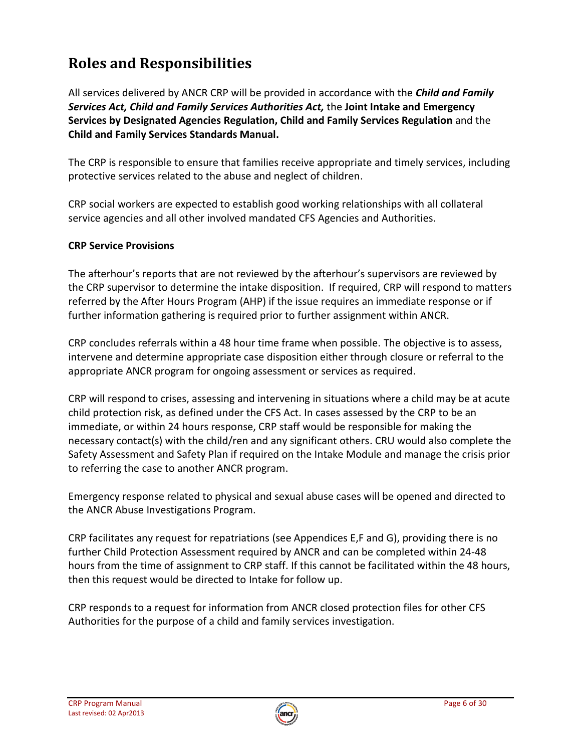# **Roles and Responsibilities**

All services delivered by ANCR CRP will be provided in accordance with the *Child and Family Services Act, Child and Family Services Authorities Act,* the **Joint Intake and Emergency Services by Designated Agencies Regulation, Child and Family Services Regulation** and the **Child and Family Services Standards Manual.**

The CRP is responsible to ensure that families receive appropriate and timely services, including protective services related to the abuse and neglect of children.

CRP social workers are expected to establish good working relationships with all collateral service agencies and all other involved mandated CFS Agencies and Authorities.

# **CRP Service Provisions**

The afterhour's reports that are not reviewed by the afterhour's supervisors are reviewed by the CRP supervisor to determine the intake disposition. If required, CRP will respond to matters referred by the After Hours Program (AHP) if the issue requires an immediate response or if further information gathering is required prior to further assignment within ANCR.

CRP concludes referrals within a 48 hour time frame when possible. The objective is to assess, intervene and determine appropriate case disposition either through closure or referral to the appropriate ANCR program for ongoing assessment or services as required.

CRP will respond to crises, assessing and intervening in situations where a child may be at acute child protection risk, as defined under the CFS Act. In cases assessed by the CRP to be an immediate, or within 24 hours response, CRP staff would be responsible for making the necessary contact(s) with the child/ren and any significant others. CRU would also complete the Safety Assessment and Safety Plan if required on the Intake Module and manage the crisis prior to referring the case to another ANCR program.

Emergency response related to physical and sexual abuse cases will be opened and directed to the ANCR Abuse Investigations Program.

CRP facilitates any request for repatriations (see Appendices E,F and G), providing there is no further Child Protection Assessment required by ANCR and can be completed within 24-48 hours from the time of assignment to CRP staff. If this cannot be facilitated within the 48 hours, then this request would be directed to Intake for follow up.

CRP responds to a request for information from ANCR closed protection files for other CFS Authorities for the purpose of a child and family services investigation.

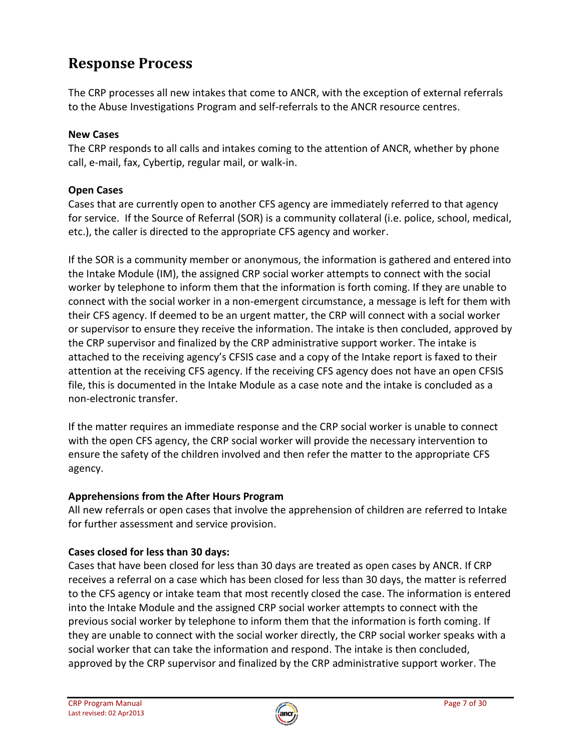# **Response Process**

The CRP processes all new intakes that come to ANCR, with the exception of external referrals to the Abuse Investigations Program and self-referrals to the ANCR resource centres.

# **New Cases**

The CRP responds to all calls and intakes coming to the attention of ANCR, whether by phone call, e-mail, fax, Cybertip, regular mail, or walk-in.

# **Open Cases**

Cases that are currently open to another CFS agency are immediately referred to that agency for service. If the Source of Referral (SOR) is a community collateral (i.e. police, school, medical, etc.), the caller is directed to the appropriate CFS agency and worker.

If the SOR is a community member or anonymous, the information is gathered and entered into the Intake Module (IM), the assigned CRP social worker attempts to connect with the social worker by telephone to inform them that the information is forth coming. If they are unable to connect with the social worker in a non-emergent circumstance, a message is left for them with their CFS agency. If deemed to be an urgent matter, the CRP will connect with a social worker or supervisor to ensure they receive the information. The intake is then concluded, approved by the CRP supervisor and finalized by the CRP administrative support worker. The intake is attached to the receiving agency's CFSIS case and a copy of the Intake report is faxed to their attention at the receiving CFS agency. If the receiving CFS agency does not have an open CFSIS file, this is documented in the Intake Module as a case note and the intake is concluded as a non-electronic transfer.

If the matter requires an immediate response and the CRP social worker is unable to connect with the open CFS agency, the CRP social worker will provide the necessary intervention to ensure the safety of the children involved and then refer the matter to the appropriate CFS agency.

# **Apprehensions from the After Hours Program**

All new referrals or open cases that involve the apprehension of children are referred to Intake for further assessment and service provision.

# **Cases closed for less than 30 days:**

Cases that have been closed for less than 30 days are treated as open cases by ANCR. If CRP receives a referral on a case which has been closed for less than 30 days, the matter is referred to the CFS agency or intake team that most recently closed the case. The information is entered into the Intake Module and the assigned CRP social worker attempts to connect with the previous social worker by telephone to inform them that the information is forth coming. If they are unable to connect with the social worker directly, the CRP social worker speaks with a social worker that can take the information and respond. The intake is then concluded, approved by the CRP supervisor and finalized by the CRP administrative support worker. The

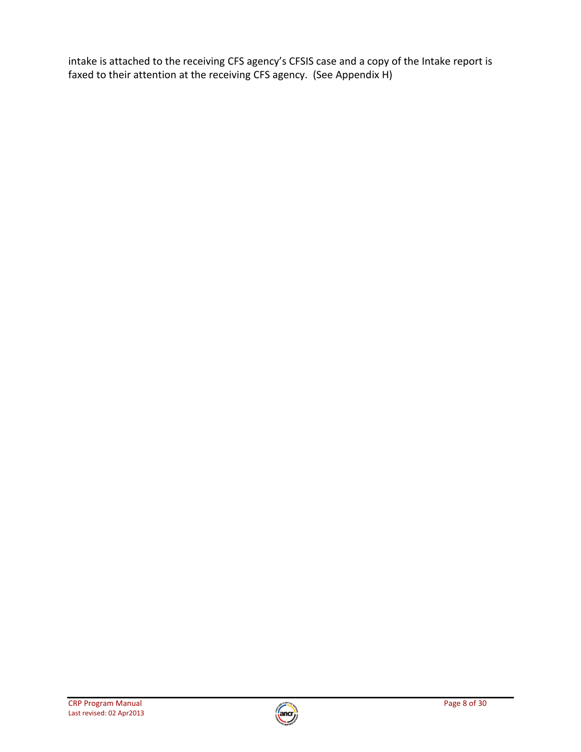intake is attached to the receiving CFS agency's CFSIS case and a copy of the Intake report is faxed to their attention at the receiving CFS agency. (See Appendix H)

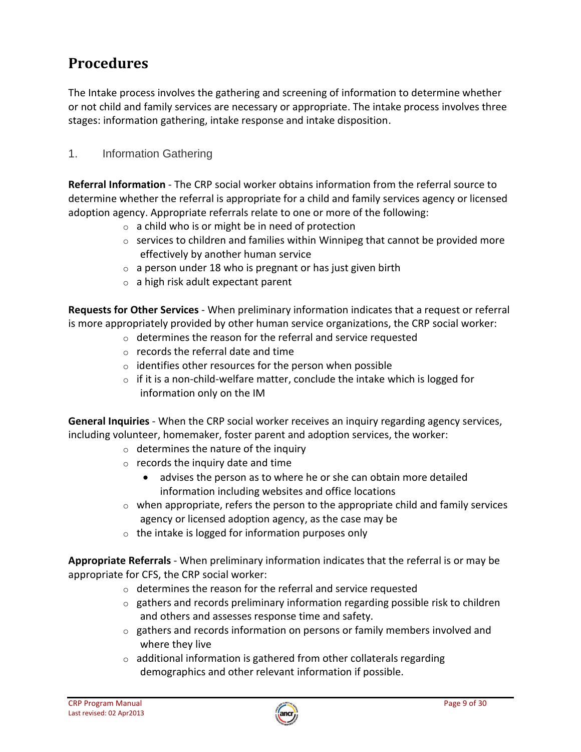# **Procedures**

The Intake process involves the gathering and screening of information to determine whether or not child and family services are necessary or appropriate. The intake process involves three stages: information gathering, intake response and intake disposition.

# 1. Information Gathering

**Referral Information** - The CRP social worker obtains information from the referral source to determine whether the referral is appropriate for a child and family services agency or licensed adoption agency. Appropriate referrals relate to one or more of the following:

- $\circ$  a child who is or might be in need of protection
- o services to children and families within Winnipeg that cannot be provided more effectively by another human service
- $\circ$  a person under 18 who is pregnant or has just given birth
- $\circ$  a high risk adult expectant parent

**Requests for Other Services** - When preliminary information indicates that a request or referral is more appropriately provided by other human service organizations, the CRP social worker:

- o determines the reason for the referral and service requested
- $\circ$  records the referral date and time
- $\circ$  identifies other resources for the person when possible
- $\circ$  if it is a non-child-welfare matter, conclude the intake which is logged for information only on the IM

**General Inquiries** - When the CRP social worker receives an inquiry regarding agency services, including volunteer, homemaker, foster parent and adoption services, the worker:

- o determines the nature of the inquiry
- $\circ$  records the inquiry date and time
	- advises the person as to where he or she can obtain more detailed information including websites and office locations
- $\circ$  when appropriate, refers the person to the appropriate child and family services agency or licensed adoption agency, as the case may be
- $\circ$  the intake is logged for information purposes only

**Appropriate Referrals** - When preliminary information indicates that the referral is or may be appropriate for CFS, the CRP social worker:

- o determines the reason for the referral and service requested
- $\circ$  gathers and records preliminary information regarding possible risk to children and others and assesses response time and safety.
- $\circ$  gathers and records information on persons or family members involved and where they live
- o additional information is gathered from other collaterals regarding demographics and other relevant information if possible.

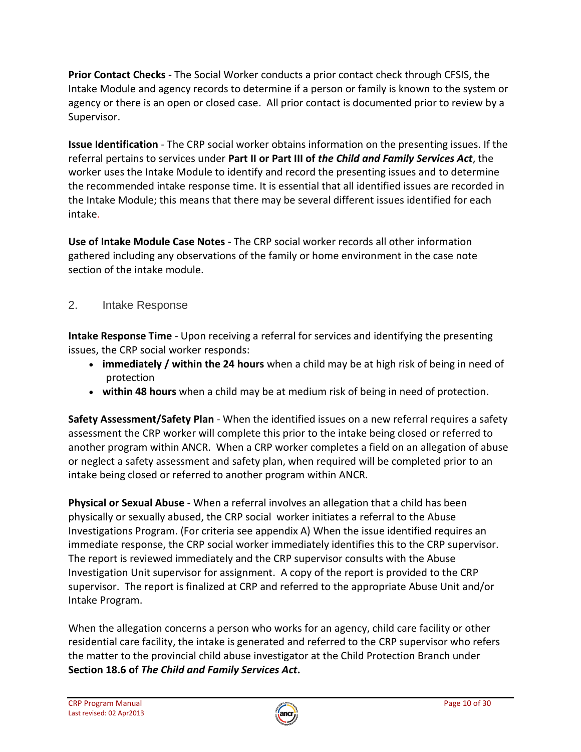**Prior Contact Checks** - The Social Worker conducts a prior contact check through CFSIS, the Intake Module and agency records to determine if a person or family is known to the system or agency or there is an open or closed case. All prior contact is documented prior to review by a Supervisor.

**Issue Identification** - The CRP social worker obtains information on the presenting issues. If the referral pertains to services under **Part II or Part III of** *the Child and Family Services Act*, the worker uses the Intake Module to identify and record the presenting issues and to determine the recommended intake response time. It is essential that all identified issues are recorded in the Intake Module; this means that there may be several different issues identified for each intake.

**Use of Intake Module Case Notes** - The CRP social worker records all other information gathered including any observations of the family or home environment in the case note section of the intake module.

# 2. Intake Response

**Intake Response Time** - Upon receiving a referral for services and identifying the presenting issues, the CRP social worker responds:

- **immediately / within the 24 hours** when a child may be at high risk of being in need of protection
- **within 48 hours** when a child may be at medium risk of being in need of protection.

**Safety Assessment/Safety Plan** - When the identified issues on a new referral requires a safety assessment the CRP worker will complete this prior to the intake being closed or referred to another program within ANCR. When a CRP worker completes a field on an allegation of abuse or neglect a safety assessment and safety plan, when required will be completed prior to an intake being closed or referred to another program within ANCR.

**Physical or Sexual Abuse** - When a referral involves an allegation that a child has been physically or sexually abused, the CRP social worker initiates a referral to the Abuse Investigations Program. (For criteria see appendix A) When the issue identified requires an immediate response, the CRP social worker immediately identifies this to the CRP supervisor. The report is reviewed immediately and the CRP supervisor consults with the Abuse Investigation Unit supervisor for assignment. A copy of the report is provided to the CRP supervisor. The report is finalized at CRP and referred to the appropriate Abuse Unit and/or Intake Program.

When the allegation concerns a person who works for an agency, child care facility or other residential care facility, the intake is generated and referred to the CRP supervisor who refers the matter to the provincial child abuse investigator at the Child Protection Branch under **[Section 18.6](http://web2.gov.mb.ca/laws/statutes/ccsm/c080e.php#18.6) of** *The Child and Family Services Act***.**

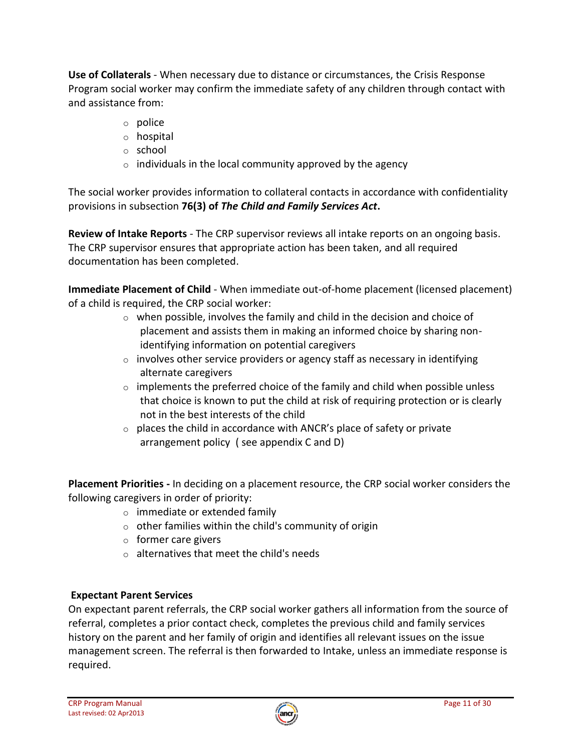**Use of Collaterals** - When necessary due to distance or circumstances, the Crisis Response Program social worker may confirm the immediate safety of any children through contact with and assistance from:

- o police
- o hospital
- o school
- $\circ$  individuals in the local community approved by the agency

The social worker provides information to collateral contacts in accordance with confidentiality provisions in subsection **76(3) of** *The Child and Family Services Act***.** 

**Review of Intake Reports** - The CRP supervisor reviews all intake reports on an ongoing basis. The CRP supervisor ensures that appropriate action has been taken, and all required documentation has been completed.

**Immediate Placement of Child** - When immediate out-of-home placement (licensed placement) of a child is required, the CRP social worker:

- o when possible, involves the family and child in the decision and choice of placement and assists them in making an informed choice by sharing nonidentifying information on potential caregivers
- $\circ$  involves other service providers or agency staff as necessary in identifying alternate caregivers
- o implements the preferred choice of the family and child when possible unless that choice is known to put the child at risk of requiring protection or is clearly not in the best interests of the child
- $\circ$  places the child in accordance with ANCR's place of safety or private arrangement policy ( see appendix C and D)

**Placement Priorities -** In deciding on a placement resource, the CRP social worker considers the following caregivers in order of priority:

- o immediate or extended family
- $\circ$  other families within the child's community of origin
- o former care givers
- o alternatives that meet the child's needs

# **Expectant Parent Services**

On expectant parent referrals, the CRP social worker gathers all information from the source of referral, completes a prior contact check, completes the previous child and family services history on the parent and her family of origin and identifies all relevant issues on the issue management screen. The referral is then forwarded to Intake, unless an immediate response is required.

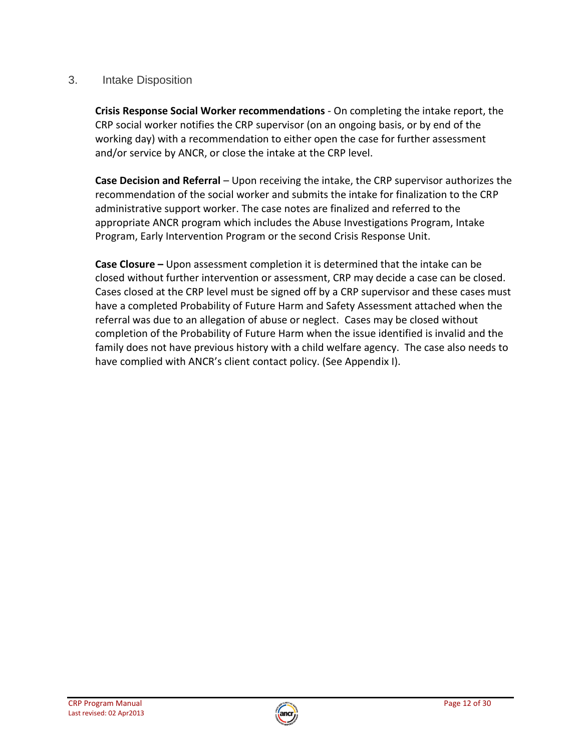# 3. Intake Disposition

**Crisis Response Social Worker recommendations** - On completing the intake report, the CRP social worker notifies the CRP supervisor (on an ongoing basis, or by end of the working day) with a recommendation to either open the case for further assessment and/or service by ANCR, or close the intake at the CRP level.

**Case Decision and Referral** – Upon receiving the intake, the CRP supervisor authorizes the recommendation of the social worker and submits the intake for finalization to the CRP administrative support worker. The case notes are finalized and referred to the appropriate ANCR program which includes the Abuse Investigations Program, Intake Program, Early Intervention Program or the second Crisis Response Unit.

**Case Closure –** Upon assessment completion it is determined that the intake can be closed without further intervention or assessment, CRP may decide a case can be closed. Cases closed at the CRP level must be signed off by a CRP supervisor and these cases must have a completed Probability of Future Harm and Safety Assessment attached when the referral was due to an allegation of abuse or neglect. Cases may be closed without completion of the Probability of Future Harm when the issue identified is invalid and the family does not have previous history with a child welfare agency. The case also needs to have complied with ANCR's client contact policy. (See Appendix I).

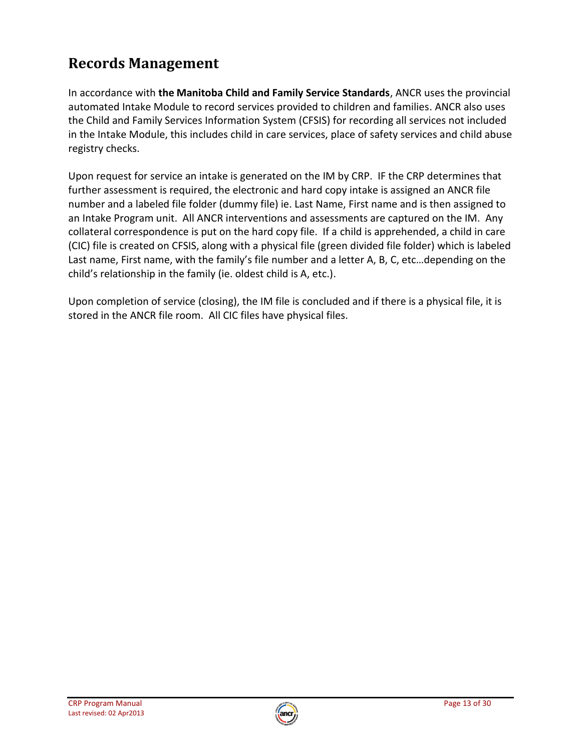# **Records Management**

In accordance with **the Manitoba Child and Family Service Standards**, ANCR uses the provincial automated Intake Module to record services provided to children and families. ANCR also uses the Child and Family Services Information System (CFSIS) for recording all services not included in the Intake Module, this includes child in care services, place of safety services and child abuse registry checks.

Upon request for service an intake is generated on the IM by CRP. IF the CRP determines that further assessment is required, the electronic and hard copy intake is assigned an ANCR file number and a labeled file folder (dummy file) ie. Last Name, First name and is then assigned to an Intake Program unit. All ANCR interventions and assessments are captured on the IM. Any collateral correspondence is put on the hard copy file. If a child is apprehended, a child in care (CIC) file is created on CFSIS, along with a physical file (green divided file folder) which is labeled Last name, First name, with the family's file number and a letter A, B, C, etc…depending on the child's relationship in the family (ie. oldest child is A, etc.).

Upon completion of service (closing), the IM file is concluded and if there is a physical file, it is stored in the ANCR file room. All CIC files have physical files.

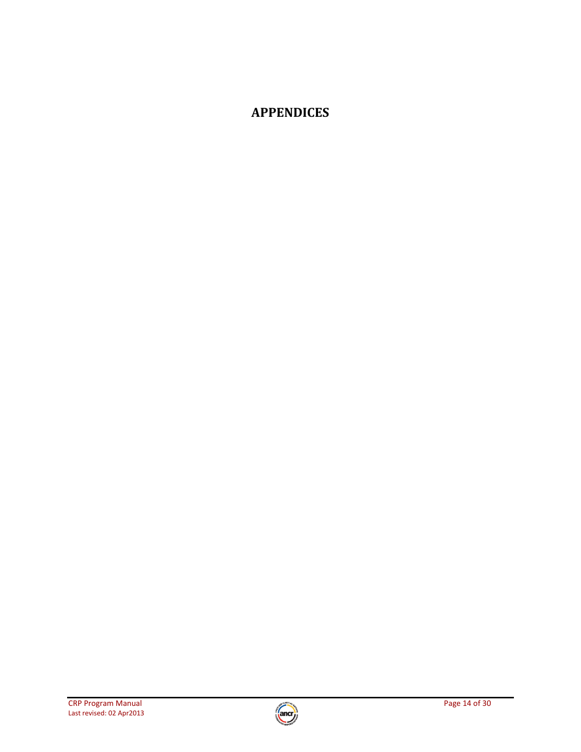# **APPENDICES**

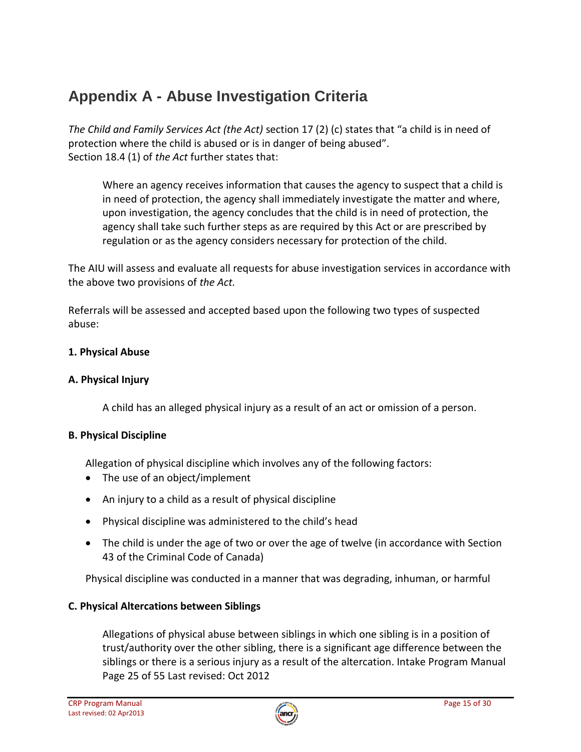# **Appendix A - Abuse Investigation Criteria**

*The Child and Family Services Act (the Act)* section 17 (2) (c) states that "a child is in need of protection where the child is abused or is in danger of being abused". Section 18.4 (1) of *the Act* further states that:

Where an agency receives information that causes the agency to suspect that a child is in need of protection, the agency shall immediately investigate the matter and where, upon investigation, the agency concludes that the child is in need of protection, the agency shall take such further steps as are required by this Act or are prescribed by regulation or as the agency considers necessary for protection of the child.

The AIU will assess and evaluate all requests for abuse investigation services in accordance with the above two provisions of *the Act.* 

Referrals will be assessed and accepted based upon the following two types of suspected abuse:

# **1. Physical Abuse**

## **A. Physical Injury**

A child has an alleged physical injury as a result of an act or omission of a person.

### **B. Physical Discipline**

Allegation of physical discipline which involves any of the following factors:

- The use of an object/implement
- An injury to a child as a result of physical discipline
- Physical discipline was administered to the child's head
- The child is under the age of two or over the age of twelve (in accordance with Section 43 of the Criminal Code of Canada)

Physical discipline was conducted in a manner that was degrading, inhuman, or harmful

# **C. Physical Altercations between Siblings**

Allegations of physical abuse between siblings in which one sibling is in a position of trust/authority over the other sibling, there is a significant age difference between the siblings or there is a serious injury as a result of the altercation. Intake Program Manual Page 25 of 55 Last revised: Oct 2012

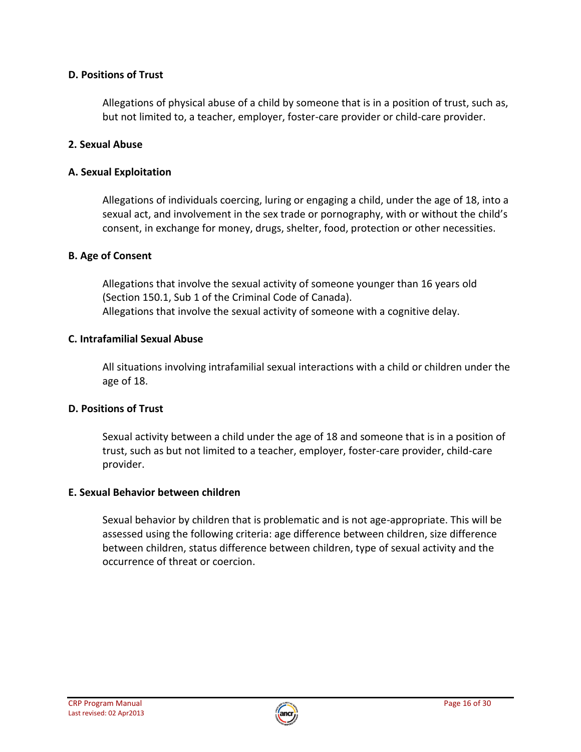## **D. Positions of Trust**

Allegations of physical abuse of a child by someone that is in a position of trust, such as, but not limited to, a teacher, employer, foster-care provider or child-care provider.

## **2. Sexual Abuse**

## **A. Sexual Exploitation**

Allegations of individuals coercing, luring or engaging a child, under the age of 18, into a sexual act, and involvement in the sex trade or pornography, with or without the child's consent, in exchange for money, drugs, shelter, food, protection or other necessities.

# **B. Age of Consent**

Allegations that involve the sexual activity of someone younger than 16 years old (Section 150.1, Sub 1 of the Criminal Code of Canada). Allegations that involve the sexual activity of someone with a cognitive delay.

### **C. Intrafamilial Sexual Abuse**

All situations involving intrafamilial sexual interactions with a child or children under the age of 18.

### **D. Positions of Trust**

Sexual activity between a child under the age of 18 and someone that is in a position of trust, such as but not limited to a teacher, employer, foster-care provider, child-care provider.

### **E. Sexual Behavior between children**

Sexual behavior by children that is problematic and is not age-appropriate. This will be assessed using the following criteria: age difference between children, size difference between children, status difference between children, type of sexual activity and the occurrence of threat or coercion.

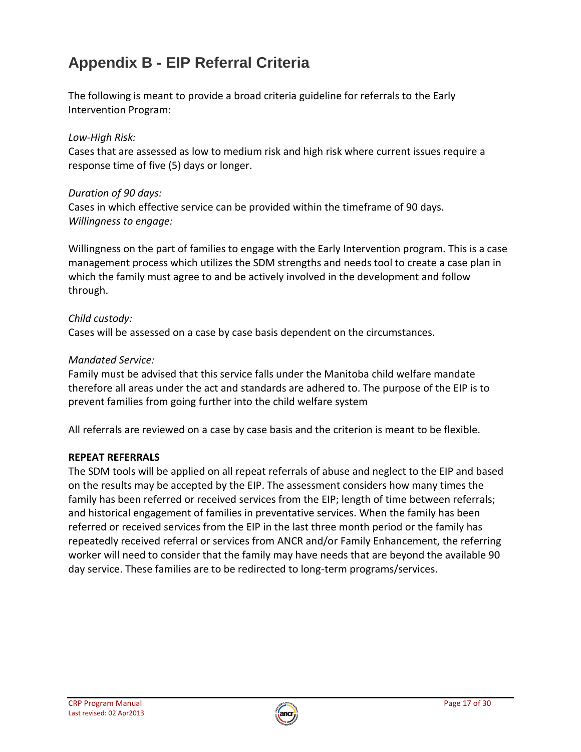# **Appendix B - EIP Referral Criteria**

The following is meant to provide a broad criteria guideline for referrals to the Early Intervention Program:

### *Low-High Risk:*

Cases that are assessed as low to medium risk and high risk where current issues require a response time of five (5) days or longer.

#### *Duration of 90 days:*

Cases in which effective service can be provided within the timeframe of 90 days. *Willingness to engage:* 

Willingness on the part of families to engage with the Early Intervention program. This is a case management process which utilizes the SDM strengths and needs tool to create a case plan in which the family must agree to and be actively involved in the development and follow through.

#### *Child custody:*

Cases will be assessed on a case by case basis dependent on the circumstances.

#### *Mandated Service:*

Family must be advised that this service falls under the Manitoba child welfare mandate therefore all areas under the act and standards are adhered to. The purpose of the EIP is to prevent families from going further into the child welfare system

All referrals are reviewed on a case by case basis and the criterion is meant to be flexible.

#### **REPEAT REFERRALS**

The SDM tools will be applied on all repeat referrals of abuse and neglect to the EIP and based on the results may be accepted by the EIP. The assessment considers how many times the family has been referred or received services from the EIP; length of time between referrals; and historical engagement of families in preventative services. When the family has been referred or received services from the EIP in the last three month period or the family has repeatedly received referral or services from ANCR and/or Family Enhancement, the referring worker will need to consider that the family may have needs that are beyond the available 90 day service. These families are to be redirected to long-term programs/services.

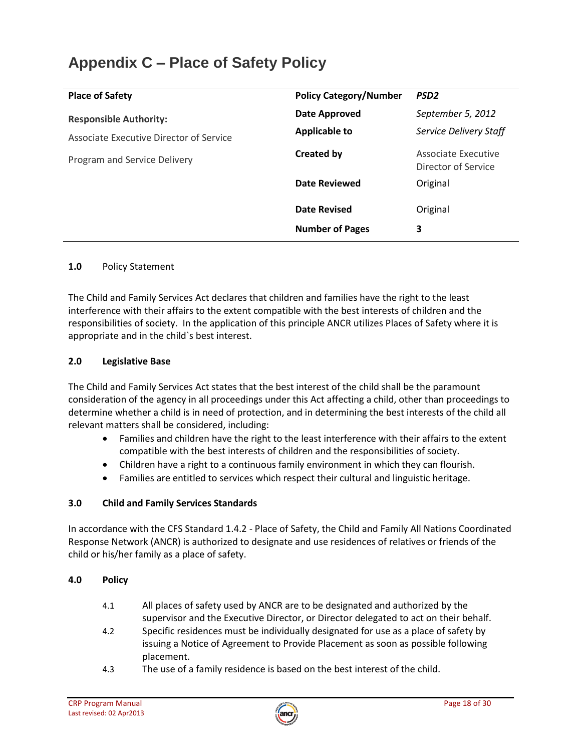# **Appendix C – Place of Safety Policy**

| <b>Place of Safety</b>                  | <b>Policy Category/Number</b> | PSD <sub>2</sub>                           |
|-----------------------------------------|-------------------------------|--------------------------------------------|
| <b>Responsible Authority:</b>           | Date Approved                 | September 5, 2012                          |
| Associate Executive Director of Service | <b>Applicable to</b>          | <b>Service Delivery Staff</b>              |
| Program and Service Delivery            | <b>Created by</b>             | Associate Executive<br>Director of Service |
|                                         | <b>Date Reviewed</b>          | Original                                   |
|                                         | <b>Date Revised</b>           | Original                                   |
|                                         | <b>Number of Pages</b>        | 3                                          |

#### **1.0** Policy Statement

The Child and Family Services Act declares that children and families have the right to the least interference with their affairs to the extent compatible with the best interests of children and the responsibilities of society. In the application of this principle ANCR utilizes Places of Safety where it is appropriate and in the child`s best interest.

#### **2.0 Legislative Base**

The Child and Family Services Act states that the best interest of the child shall be the paramount consideration of the agency in all proceedings under this Act affecting a child, other than proceedings to determine whether a child is in need of protection, and in determining the best interests of the child all relevant matters shall be considered, including:

- Families and children have the right to the least interference with their affairs to the extent compatible with the best interests of children and the responsibilities of society.
- Children have a right to a continuous family environment in which they can flourish.
- Families are entitled to services which respect their cultural and linguistic heritage.

#### **3.0 Child and Family Services Standards**

In accordance with the CFS Standard 1.4.2 - Place of Safety, the Child and Family All Nations Coordinated Response Network (ANCR) is authorized to designate and use residences of relatives or friends of the child or his/her family as a place of safety.

#### **4.0 Policy**

- 4.1 All places of safety used by ANCR are to be designated and authorized by the supervisor and the Executive Director, or Director delegated to act on their behalf.
- 4.2 Specific residences must be individually designated for use as a place of safety by issuing a Notice of Agreement to Provide Placement as soon as possible following placement.
- 4.3 The use of a family residence is based on the best interest of the child.

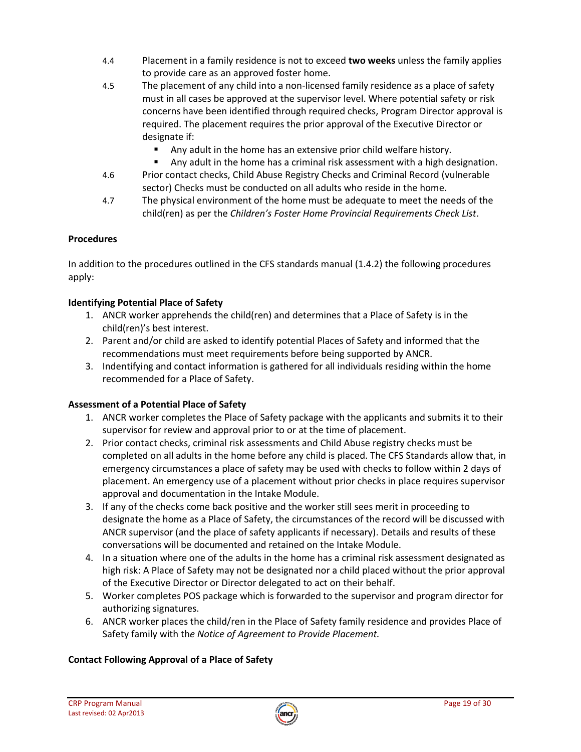- 4.4 Placement in a family residence is not to exceed **two weeks** unless the family applies to provide care as an approved foster home.
- 4.5 The placement of any child into a non-licensed family residence as a place of safety must in all cases be approved at the supervisor level. Where potential safety or risk concerns have been identified through required checks, Program Director approval is required. The placement requires the prior approval of the Executive Director or designate if:
	- Any adult in the home has an extensive prior child welfare history.
	- Any adult in the home has a criminal risk assessment with a high designation.
- 4.6 Prior contact checks, Child Abuse Registry Checks and Criminal Record (vulnerable sector) Checks must be conducted on all adults who reside in the home.
- 4.7 The physical environment of the home must be adequate to meet the needs of the child(ren) as per the *Children's Foster Home Provincial Requirements Check List*.

#### **Procedures**

In addition to the procedures outlined in the CFS standards manual (1.4.2) the following procedures apply:

#### **Identifying Potential Place of Safety**

- 1. ANCR worker apprehends the child(ren) and determines that a Place of Safety is in the child(ren)'s best interest.
- 2. Parent and/or child are asked to identify potential Places of Safety and informed that the recommendations must meet requirements before being supported by ANCR.
- 3. Indentifying and contact information is gathered for all individuals residing within the home recommended for a Place of Safety.

#### **Assessment of a Potential Place of Safety**

- 1. ANCR worker completes the Place of Safety package with the applicants and submits it to their supervisor for review and approval prior to or at the time of placement.
- 2. Prior contact checks, criminal risk assessments and Child Abuse registry checks must be completed on all adults in the home before any child is placed. The CFS Standards allow that, in emergency circumstances a place of safety may be used with checks to follow within 2 days of placement. An emergency use of a placement without prior checks in place requires supervisor approval and documentation in the Intake Module.
- 3. If any of the checks come back positive and the worker still sees merit in proceeding to designate the home as a Place of Safety, the circumstances of the record will be discussed with ANCR supervisor (and the place of safety applicants if necessary). Details and results of these conversations will be documented and retained on the Intake Module.
- 4. In a situation where one of the adults in the home has a criminal risk assessment designated as high risk: A Place of Safety may not be designated nor a child placed without the prior approval of the Executive Director or Director delegated to act on their behalf.
- 5. Worker completes POS package which is forwarded to the supervisor and program director for authorizing signatures.
- 6. ANCR worker places the child/ren in the Place of Safety family residence and provides Place of Safety family with th*e Notice of Agreement to Provide Placement.*

#### **Contact Following Approval of a Place of Safety**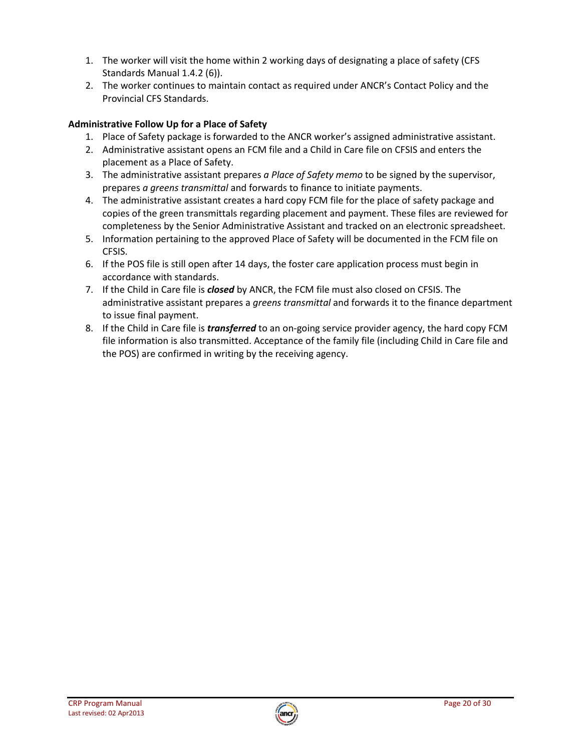- 1. The worker will visit the home within 2 working days of designating a place of safety (CFS Standards Manual 1.4.2 (6)).
- 2. The worker continues to maintain contact as required under ANCR's Contact Policy and the Provincial CFS Standards.

### **Administrative Follow Up for a Place of Safety**

- 1. Place of Safety package is forwarded to the ANCR worker's assigned administrative assistant.
- 2. Administrative assistant opens an FCM file and a Child in Care file on CFSIS and enters the placement as a Place of Safety.
- 3. The administrative assistant prepares *a Place of Safety memo* to be signed by the supervisor, prepares *a greens transmittal* and forwards to finance to initiate payments.
- 4. The administrative assistant creates a hard copy FCM file for the place of safety package and copies of the green transmittals regarding placement and payment. These files are reviewed for completeness by the Senior Administrative Assistant and tracked on an electronic spreadsheet.
- 5. Information pertaining to the approved Place of Safety will be documented in the FCM file on CFSIS.
- 6. If the POS file is still open after 14 days, the foster care application process must begin in accordance with standards.
- 7. If the Child in Care file is *closed* by ANCR, the FCM file must also closed on CFSIS. The administrative assistant prepares a *greens transmittal* and forwards it to the finance department to issue final payment.
- 8. If the Child in Care file is *transferred* to an on-going service provider agency, the hard copy FCM file information is also transmitted. Acceptance of the family file (including Child in Care file and the POS) are confirmed in writing by the receiving agency.

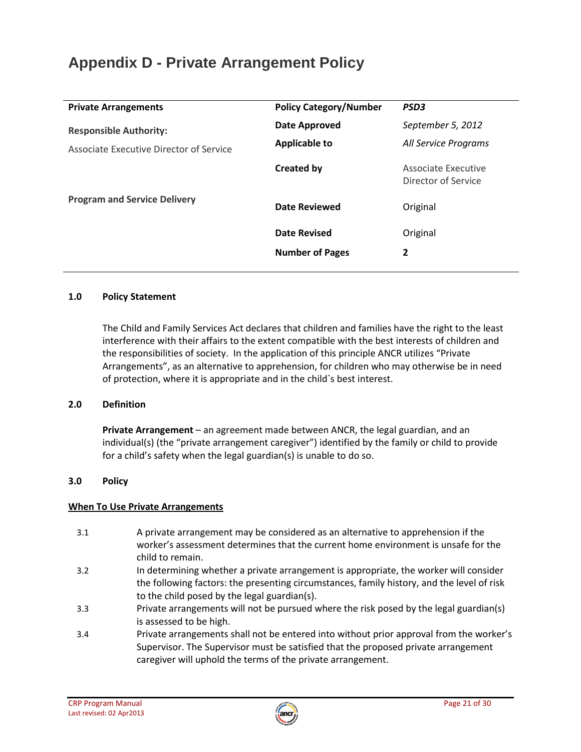# **Appendix D - Private Arrangement Policy**

| <b>Private Arrangements</b>             | <b>Policy Category/Number</b> | PSD <sub>3</sub>                           |
|-----------------------------------------|-------------------------------|--------------------------------------------|
| <b>Responsible Authority:</b>           | <b>Date Approved</b>          | September 5, 2012                          |
| Associate Executive Director of Service | <b>Applicable to</b>          | All Service Programs                       |
|                                         | <b>Created by</b>             | Associate Executive<br>Director of Service |
| <b>Program and Service Delivery</b>     | Date Reviewed                 | Original                                   |
|                                         | <b>Date Revised</b>           | Original                                   |
|                                         | <b>Number of Pages</b>        | 2                                          |
|                                         |                               |                                            |

#### **1.0 Policy Statement**

The Child and Family Services Act declares that children and families have the right to the least interference with their affairs to the extent compatible with the best interests of children and the responsibilities of society. In the application of this principle ANCR utilizes "Private Arrangements", as an alternative to apprehension, for children who may otherwise be in need of protection, where it is appropriate and in the child`s best interest.

#### **2.0 Definition**

**Private Arrangement** – an agreement made between ANCR, the legal guardian, and an individual(s) (the "private arrangement caregiver") identified by the family or child to provide for a child's safety when the legal guardian(s) is unable to do so.

#### **3.0 Policy**

#### **When To Use Private Arrangements**

- 3.1 A private arrangement may be considered as an alternative to apprehension if the worker's assessment determines that the current home environment is unsafe for the child to remain.
- 3.2 In determining whether a private arrangement is appropriate, the worker will consider the following factors: the presenting circumstances, family history, and the level of risk to the child posed by the legal guardian(s).
- 3.3 Private arrangements will not be pursued where the risk posed by the legal guardian(s) is assessed to be high.
- 3.4 Private arrangements shall not be entered into without prior approval from the worker's Supervisor. The Supervisor must be satisfied that the proposed private arrangement caregiver will uphold the terms of the private arrangement.

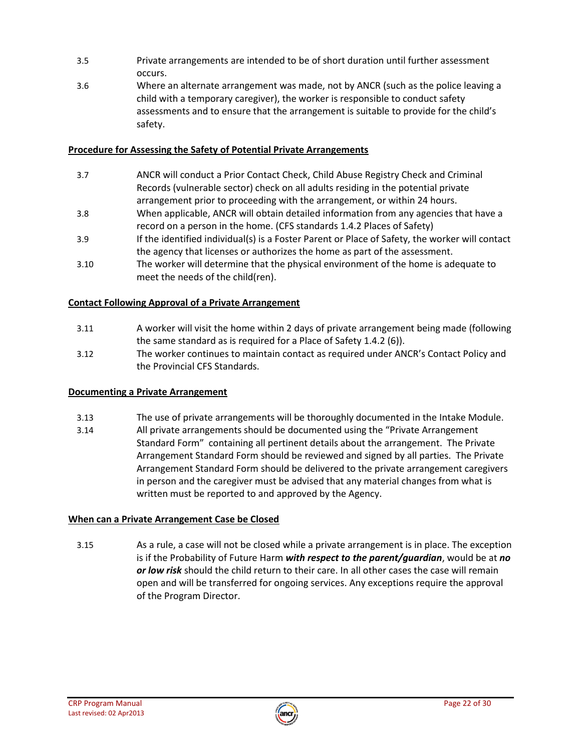- 3.5 Private arrangements are intended to be of short duration until further assessment occurs.
- 3.6 Where an alternate arrangement was made, not by ANCR (such as the police leaving a child with a temporary caregiver), the worker is responsible to conduct safety assessments and to ensure that the arrangement is suitable to provide for the child's safety.

#### **Procedure for Assessing the Safety of Potential Private Arrangements**

- 3.7 ANCR will conduct a Prior Contact Check, Child Abuse Registry Check and Criminal Records (vulnerable sector) check on all adults residing in the potential private arrangement prior to proceeding with the arrangement, or within 24 hours.
- 3.8 When applicable, ANCR will obtain detailed information from any agencies that have a record on a person in the home. (CFS standards 1.4.2 Places of Safety)
- 3.9 If the identified individual(s) is a Foster Parent or Place of Safety, the worker will contact the agency that licenses or authorizes the home as part of the assessment.
- 3.10 The worker will determine that the physical environment of the home is adequate to meet the needs of the child(ren).

#### **Contact Following Approval of a Private Arrangement**

- 3.11 A worker will visit the home within 2 days of private arrangement being made (following the same standard as is required for a Place of Safety 1.4.2 (6)).
- 3.12 The worker continues to maintain contact as required under ANCR's Contact Policy and the Provincial CFS Standards.

#### **Documenting a Private Arrangement**

- 3.13 The use of private arrangements will be thoroughly documented in the Intake Module.
- 3.14 All private arrangements should be documented using the "Private Arrangement Standard Form" containing all pertinent details about the arrangement. The Private Arrangement Standard Form should be reviewed and signed by all parties. The Private Arrangement Standard Form should be delivered to the private arrangement caregivers in person and the caregiver must be advised that any material changes from what is written must be reported to and approved by the Agency.

#### **When can a Private Arrangement Case be Closed**

3.15 As a rule, a case will not be closed while a private arrangement is in place. The exception is if the Probability of Future Harm *with respect to the parent/guardian*, would be at *no or low risk* should the child return to their care. In all other cases the case will remain open and will be transferred for ongoing services. Any exceptions require the approval of the Program Director.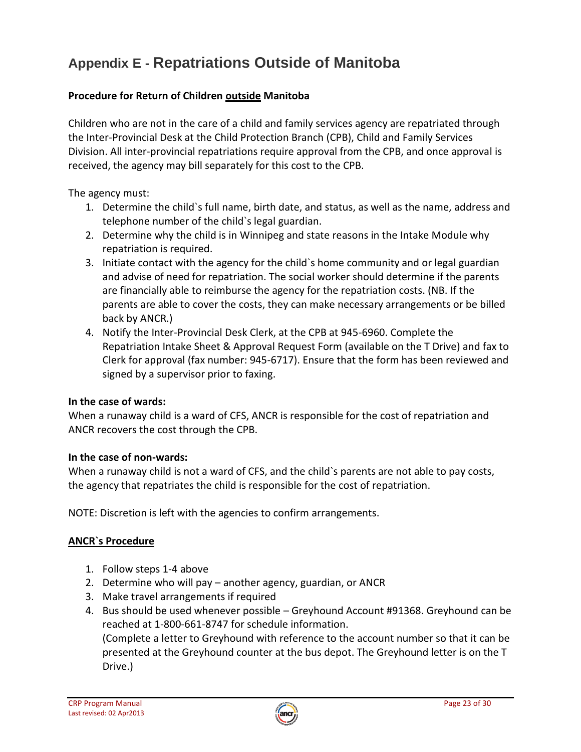# **Appendix E - Repatriations Outside of Manitoba**

# **Procedure for Return of Children outside Manitoba**

Children who are not in the care of a child and family services agency are repatriated through the Inter-Provincial Desk at the Child Protection Branch (CPB), Child and Family Services Division. All inter-provincial repatriations require approval from the CPB, and once approval is received, the agency may bill separately for this cost to the CPB.

The agency must:

- 1. Determine the child`s full name, birth date, and status, as well as the name, address and telephone number of the child`s legal guardian.
- 2. Determine why the child is in Winnipeg and state reasons in the Intake Module why repatriation is required.
- 3. Initiate contact with the agency for the child`s home community and or legal guardian and advise of need for repatriation. The social worker should determine if the parents are financially able to reimburse the agency for the repatriation costs. (NB. If the parents are able to cover the costs, they can make necessary arrangements or be billed back by ANCR.)
- 4. Notify the Inter-Provincial Desk Clerk, at the CPB at 945-6960. Complete the Repatriation Intake Sheet & Approval Request Form (available on the T Drive) and fax to Clerk for approval (fax number: 945-6717). Ensure that the form has been reviewed and signed by a supervisor prior to faxing.

#### **In the case of wards:**

When a runaway child is a ward of CFS, ANCR is responsible for the cost of repatriation and ANCR recovers the cost through the CPB.

#### **In the case of non-wards:**

When a runaway child is not a ward of CFS, and the child's parents are not able to pay costs, the agency that repatriates the child is responsible for the cost of repatriation.

NOTE: Discretion is left with the agencies to confirm arrangements.

### **ANCR`s Procedure**

- 1. Follow steps 1-4 above
- 2. Determine who will pay another agency, guardian, or ANCR
- 3. Make travel arrangements if required
- 4. Bus should be used whenever possible Greyhound Account #91368. Greyhound can be reached at 1-800-661-8747 for schedule information. (Complete a letter to Greyhound with reference to the account number so that it can be

presented at the Greyhound counter at the bus depot. The Greyhound letter is on the T Drive.)

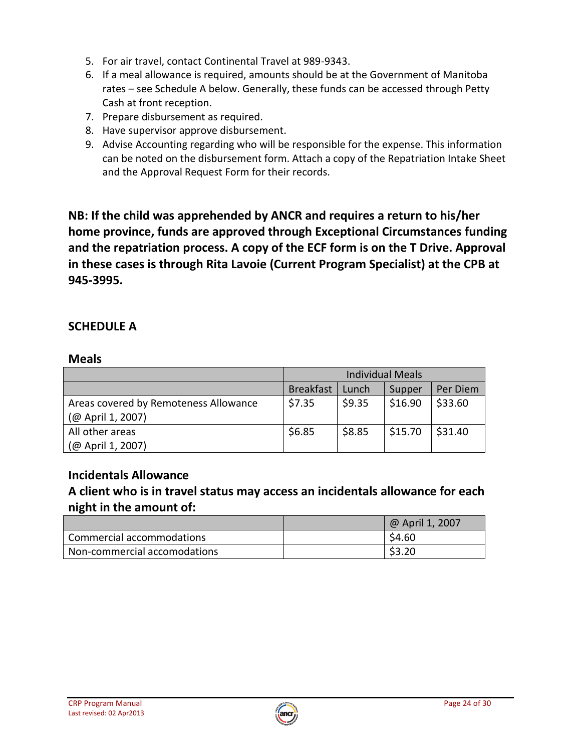- 5. For air travel, contact Continental Travel at 989-9343.
- 6. If a meal allowance is required, amounts should be at the Government of Manitoba rates – see Schedule A below. Generally, these funds can be accessed through Petty Cash at front reception.
- 7. Prepare disbursement as required.
- 8. Have supervisor approve disbursement.
- 9. Advise Accounting regarding who will be responsible for the expense. This information can be noted on the disbursement form. Attach a copy of the Repatriation Intake Sheet and the Approval Request Form for their records.

**NB: If the child was apprehended by ANCR and requires a return to his/her home province, funds are approved through Exceptional Circumstances funding and the repatriation process. A copy of the ECF form is on the T Drive. Approval in these cases is through Rita Lavoie (Current Program Specialist) at the CPB at 945-3995.** 

# **SCHEDULE A**

# **Meals**

|                                       | <b>Individual Meals</b> |        |         |          |
|---------------------------------------|-------------------------|--------|---------|----------|
|                                       | <b>Breakfast</b>        | Lunch  | Supper  | Per Diem |
| Areas covered by Remoteness Allowance | \$7.35                  | \$9.35 | \$16.90 | \$33.60  |
| (@ April 1, 2007)                     |                         |        |         |          |
| All other areas                       | \$6.85                  | \$8.85 | \$15.70 | \$31.40  |
| (@ April 1, 2007)                     |                         |        |         |          |

# **Incidentals Allowance**

# **A client who is in travel status may access an incidentals allowance for each night in the amount of:**

|                              | @ April 1, 2007 |
|------------------------------|-----------------|
| Commercial accommodations    | \$4.60          |
| Non-commercial accomodations | \$3.20          |

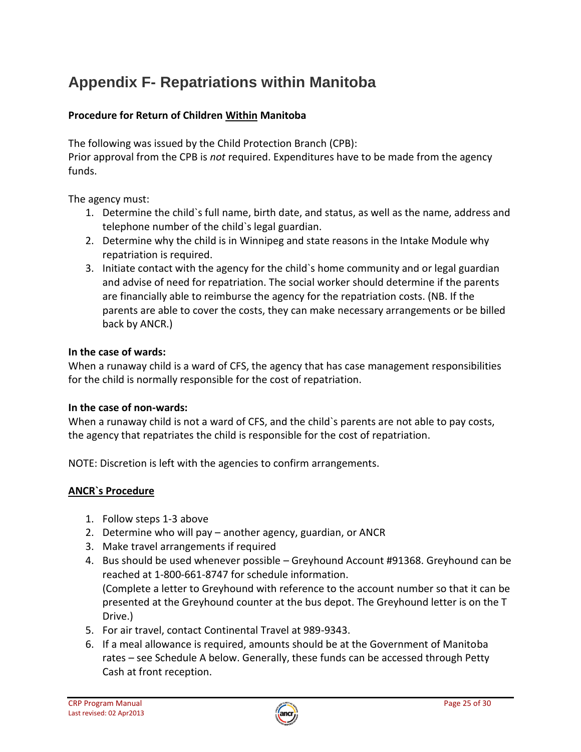# **Appendix F- Repatriations within Manitoba**

# **Procedure for Return of Children Within Manitoba**

The following was issued by the Child Protection Branch (CPB):

Prior approval from the CPB is *not* required. Expenditures have to be made from the agency funds.

The agency must:

- 1. Determine the child`s full name, birth date, and status, as well as the name, address and telephone number of the child`s legal guardian.
- 2. Determine why the child is in Winnipeg and state reasons in the Intake Module why repatriation is required.
- 3. Initiate contact with the agency for the child`s home community and or legal guardian and advise of need for repatriation. The social worker should determine if the parents are financially able to reimburse the agency for the repatriation costs. (NB. If the parents are able to cover the costs, they can make necessary arrangements or be billed back by ANCR.)

### **In the case of wards:**

When a runaway child is a ward of CFS, the agency that has case management responsibilities for the child is normally responsible for the cost of repatriation.

#### **In the case of non-wards:**

When a runaway child is not a ward of CFS, and the child's parents are not able to pay costs, the agency that repatriates the child is responsible for the cost of repatriation.

NOTE: Discretion is left with the agencies to confirm arrangements.

#### **ANCR`s Procedure**

- 1. Follow steps 1-3 above
- 2. Determine who will pay another agency, guardian, or ANCR
- 3. Make travel arrangements if required
- 4. Bus should be used whenever possible Greyhound Account #91368. Greyhound can be reached at 1-800-661-8747 for schedule information. (Complete a letter to Greyhound with reference to the account number so that it can be presented at the Greyhound counter at the bus depot. The Greyhound letter is on the T Drive.)
- 5. For air travel, contact Continental Travel at 989-9343.
- 6. If a meal allowance is required, amounts should be at the Government of Manitoba rates – see Schedule A below. Generally, these funds can be accessed through Petty Cash at front reception.

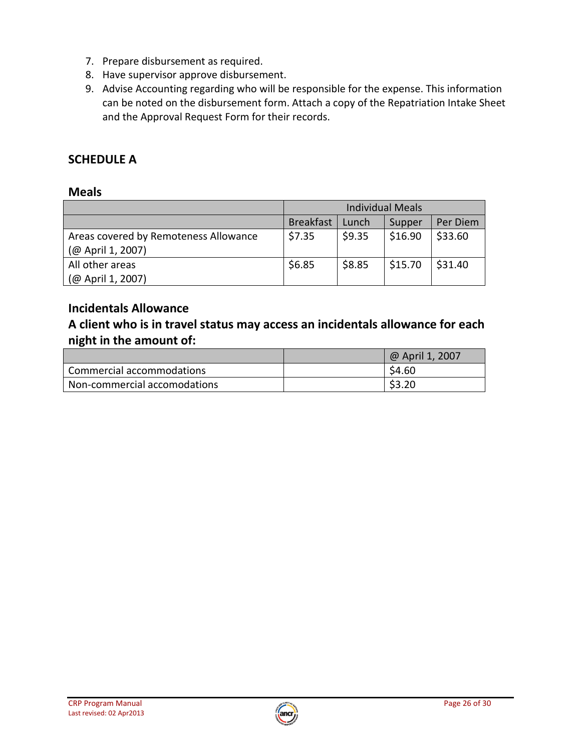- 7. Prepare disbursement as required.
- 8. Have supervisor approve disbursement.
- 9. Advise Accounting regarding who will be responsible for the expense. This information can be noted on the disbursement form. Attach a copy of the Repatriation Intake Sheet and the Approval Request Form for their records.

# **SCHEDULE A**

# **Meals**

|                                       | <b>Individual Meals</b> |        |         |          |
|---------------------------------------|-------------------------|--------|---------|----------|
|                                       | <b>Breakfast</b>        | Lunch  | Supper  | Per Diem |
| Areas covered by Remoteness Allowance | \$7.35                  | \$9.35 | \$16.90 | \$33.60  |
| (@ April 1, 2007)                     |                         |        |         |          |
| All other areas                       | \$6.85                  | \$8.85 | \$15.70 | \$31.40  |
| (@ April 1, 2007)                     |                         |        |         |          |

# **Incidentals Allowance**

**A client who is in travel status may access an incidentals allowance for each night in the amount of:** 

|                              | @ April 1, 2007 |
|------------------------------|-----------------|
| Commercial accommodations    | \$4.60          |
| Non-commercial accomodations | \$3.20          |

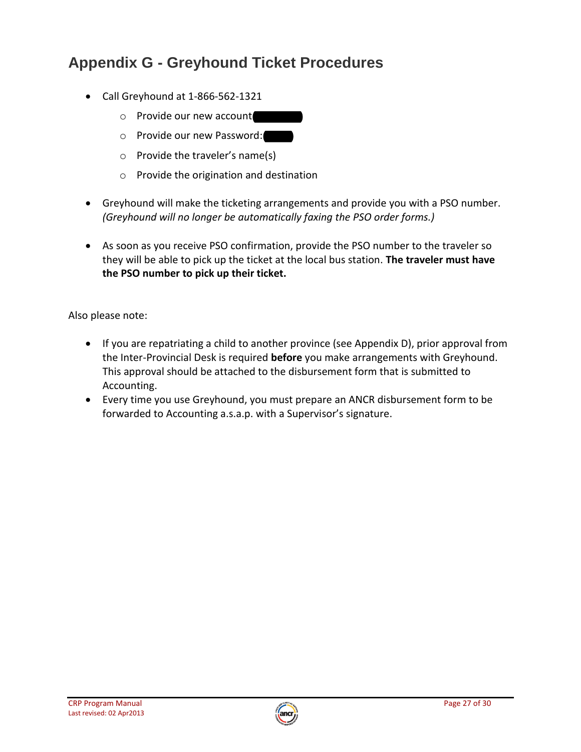# **Appendix G - Greyhound Ticket Procedures**

- Call Greyhound at 1-866-562-1321
	- $\circ$  Provide our new account
	- o Provide our new Password:
	- o Provide the traveler's name(s)
	- o Provide the origination and destination
- Greyhound will make the ticketing arrangements and provide you with a PSO number. *(Greyhound will no longer be automatically faxing the PSO order forms.)*
- As soon as you receive PSO confirmation, provide the PSO number to the traveler so they will be able to pick up the ticket at the local bus station. **The traveler must have the PSO number to pick up their ticket.**

Also please note:

- If you are repatriating a child to another province (see Appendix D), prior approval from the Inter-Provincial Desk is required **before** you make arrangements with Greyhound. This approval should be attached to the disbursement form that is submitted to Accounting.
- Every time you use Greyhound, you must prepare an ANCR disbursement form to be forwarded to Accounting a.s.a.p. with a Supervisor's signature.

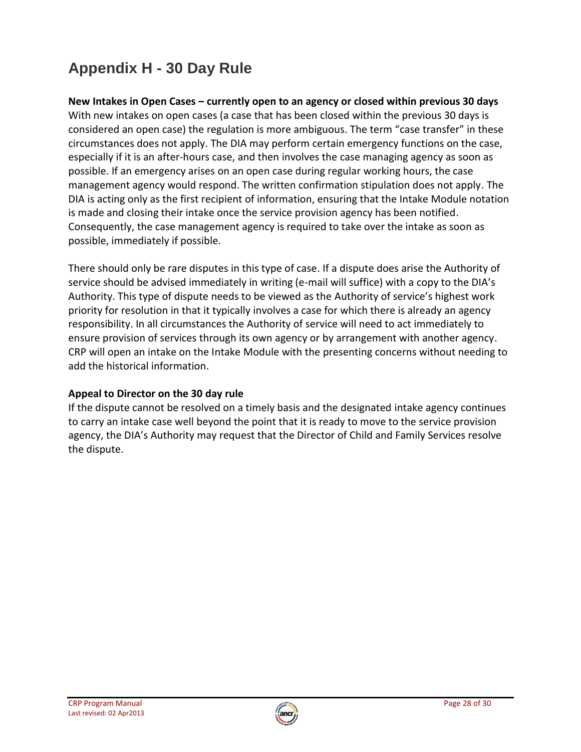# **Appendix H - 30 Day Rule**

**New Intakes in Open Cases – currently open to an agency or closed within previous 30 days** With new intakes on open cases (a case that has been closed within the previous 30 days is considered an open case) the regulation is more ambiguous. The term "case transfer" in these circumstances does not apply. The DIA may perform certain emergency functions on the case, especially if it is an after-hours case, and then involves the case managing agency as soon as possible. If an emergency arises on an open case during regular working hours, the case management agency would respond. The written confirmation stipulation does not apply. The DIA is acting only as the first recipient of information, ensuring that the Intake Module notation is made and closing their intake once the service provision agency has been notified. Consequently, the case management agency is required to take over the intake as soon as possible, immediately if possible.

There should only be rare disputes in this type of case. If a dispute does arise the Authority of service should be advised immediately in writing (e-mail will suffice) with a copy to the DIA's Authority. This type of dispute needs to be viewed as the Authority of service's highest work priority for resolution in that it typically involves a case for which there is already an agency responsibility. In all circumstances the Authority of service will need to act immediately to ensure provision of services through its own agency or by arrangement with another agency. CRP will open an intake on the Intake Module with the presenting concerns without needing to add the historical information.

### **Appeal to Director on the 30 day rule**

If the dispute cannot be resolved on a timely basis and the designated intake agency continues to carry an intake case well beyond the point that it is ready to move to the service provision agency, the DIA's Authority may request that the Director of Child and Family Services resolve the dispute.

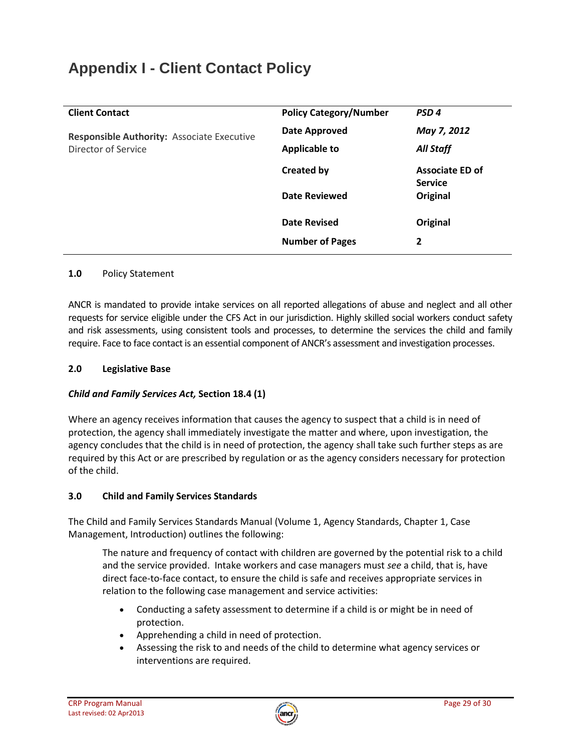# **Appendix I - Client Contact Policy**

| <b>Client Contact</b>                                                    | <b>Policy Category/Number</b> | PSD <sub>4</sub>       |
|--------------------------------------------------------------------------|-------------------------------|------------------------|
| <b>Responsible Authority: Associate Executive</b><br>Director of Service | Date Approved                 | May 7, 2012            |
|                                                                          | <b>Applicable to</b>          | <b>All Staff</b>       |
|                                                                          | <b>Created by</b>             | <b>Associate ED of</b> |
|                                                                          |                               | <b>Service</b>         |
|                                                                          | <b>Date Reviewed</b>          | Original               |
|                                                                          | <b>Date Revised</b>           | Original               |
|                                                                          | <b>Number of Pages</b>        | 2                      |

#### **1.0** Policy Statement

ANCR is mandated to provide intake services on all reported allegations of abuse and neglect and all other requests for service eligible under the CFS Act in our jurisdiction. Highly skilled social workers conduct safety and risk assessments, using consistent tools and processes, to determine the services the child and family require. Face to face contact is an essential component of ANCR's assessment and investigation processes.

#### **2.0 Legislative Base**

#### *Child and Family Services Act,* **Section 18.4 (1)**

Where an agency receives information that causes the agency to suspect that a child is in need of protection, the agency shall immediately investigate the matter and where, upon investigation, the agency concludes that the child is in need of protection, the agency shall take such further steps as are required by this Act or are prescribed by regulation or as the agency considers necessary for protection of the child.

#### **3.0 Child and Family Services Standards**

The Child and Family Services Standards Manual (Volume 1, Agency Standards, Chapter 1, Case Management, Introduction) outlines the following:

The nature and frequency of contact with children are governed by the potential risk to a child and the service provided. Intake workers and case managers must *see* a child, that is, have direct face-to-face contact, to ensure the child is safe and receives appropriate services in relation to the following case management and service activities:

- Conducting a safety assessment to determine if a child is or might be in need of protection.
- Apprehending a child in need of protection.
- Assessing the risk to and needs of the child to determine what agency services or interventions are required.